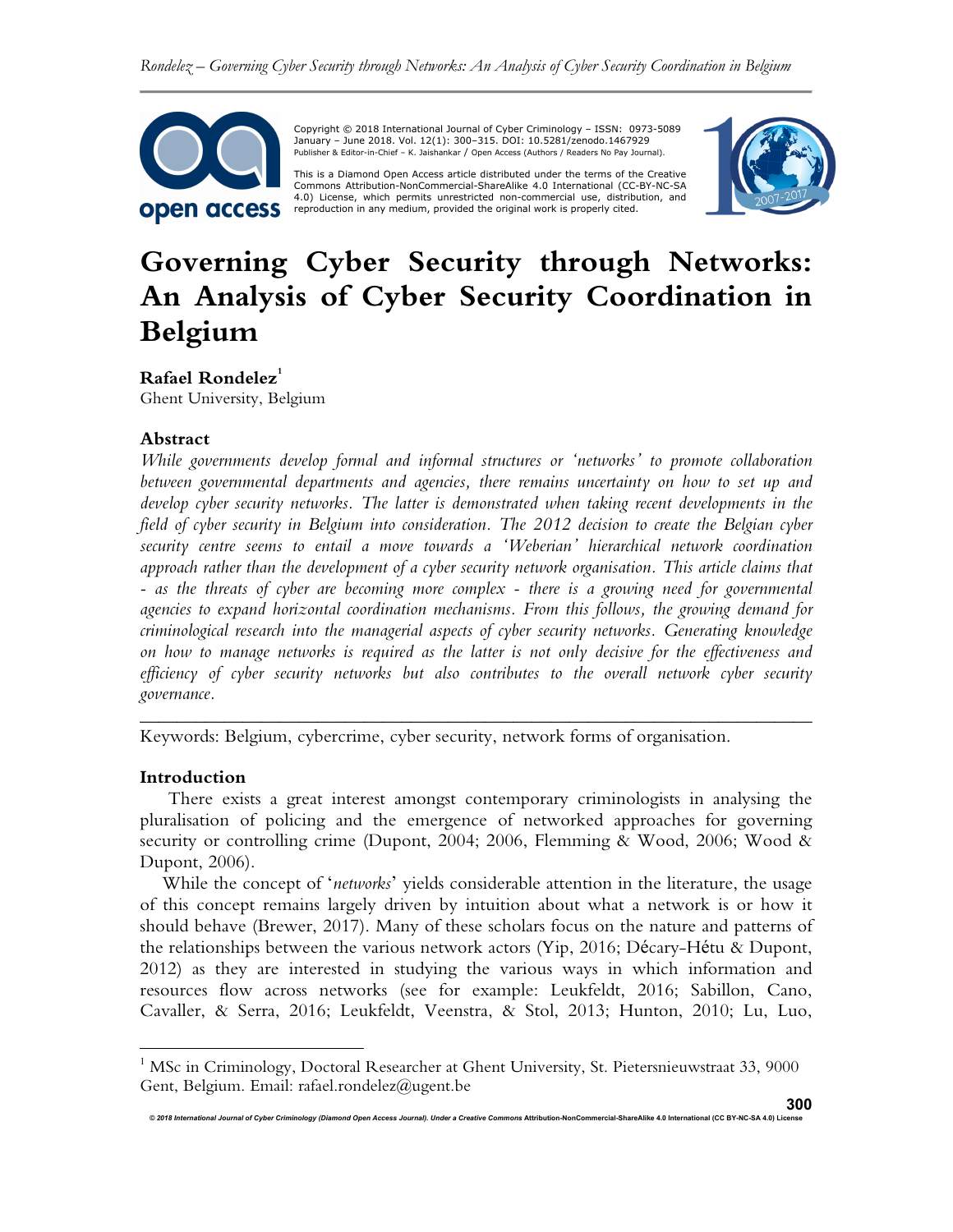

 Copyright © 2018 International Journal of Cyber Criminology – ISSN: 0973-5089 January – June 2018. Vol. 12(1): 300–315. DOI: 10.5281/zenodo.1467929 Publisher & Editor-in-Chief – K. Jaishankar / Open Access (Authors / Readers No Pay Journal).

This is a Diamond Open Access article distributed under the terms of the Creative<br>Commons Attribution-NonCommercial-ShareAlike 4.0 International (CC-BY-NC-SA 4.0) License, which permits unrestricted non-commercial use, distribution, and reproduction in any medium, provided the original work is properly cited.



# **Governing Cyber Security through Networks: An Analysis of Cyber Security Coordination in Belgium**

**Rafael Rondelez<sup>1</sup>**

Ghent University, Belgium

## **Abstract**

*While governments develop formal and informal structures or 'networks' to promote collaboration between governmental departments and agencies, there remains uncertainty on how to set up and develop cyber security networks. The latter is demonstrated when taking recent developments in the field of cyber security in Belgium into consideration. The 2012 decision to create the Belgian cyber security centre seems to entail a move towards a 'Weberian' hierarchical network coordination approach rather than the development of a cyber security network organisation. This article claims that - as the threats of cyber are becoming more complex - there is a growing need for governmental agencies to expand horizontal coordination mechanisms. From this follows, the growing demand for criminological research into the managerial aspects of cyber security networks. Generating knowledge on how to manage networks is required as the latter is not only decisive for the effectiveness and efficiency of cyber security networks but also contributes to the overall network cyber security governance.* 

Keywords: Belgium, cybercrime, cyber security, network forms of organisation.

#### **Introduction**

l.

There exists a great interest amongst contemporary criminologists in analysing the pluralisation of policing and the emergence of networked approaches for governing security or controlling crime (Dupont, 2004; 2006, Flemming & Wood, 2006; Wood & Dupont, 2006).

*\_\_\_\_\_\_\_\_\_\_\_\_\_\_\_\_\_\_\_\_\_\_\_\_\_\_\_\_\_\_\_\_\_\_\_\_\_\_\_\_\_\_\_\_\_\_\_\_\_\_\_\_\_\_\_\_\_\_\_\_\_\_\_\_\_\_\_\_\_\_\_\_* 

While the concept of '*networks*' yields considerable attention in the literature, the usage of this concept remains largely driven by intuition about what a network is or how it should behave (Brewer, 2017). Many of these scholars focus on the nature and patterns of the relationships between the various network actors (Yip, 2016; Décary-Hétu & Dupont, 2012) as they are interested in studying the various ways in which information and resources flow across networks (see for example: Leukfeldt, 2016; Sabillon, Cano, Cavaller, & Serra, 2016; Leukfeldt, Veenstra, & Stol, 2013; Hunton, 2010; Lu, Luo,

<sup>&</sup>lt;sup>1</sup> MSc in Criminology, Doctoral Researcher at Ghent University, St. Pietersnieuwstraat 33, 9000 Gent, Belgium. Email: rafael.rondelez@ugent.be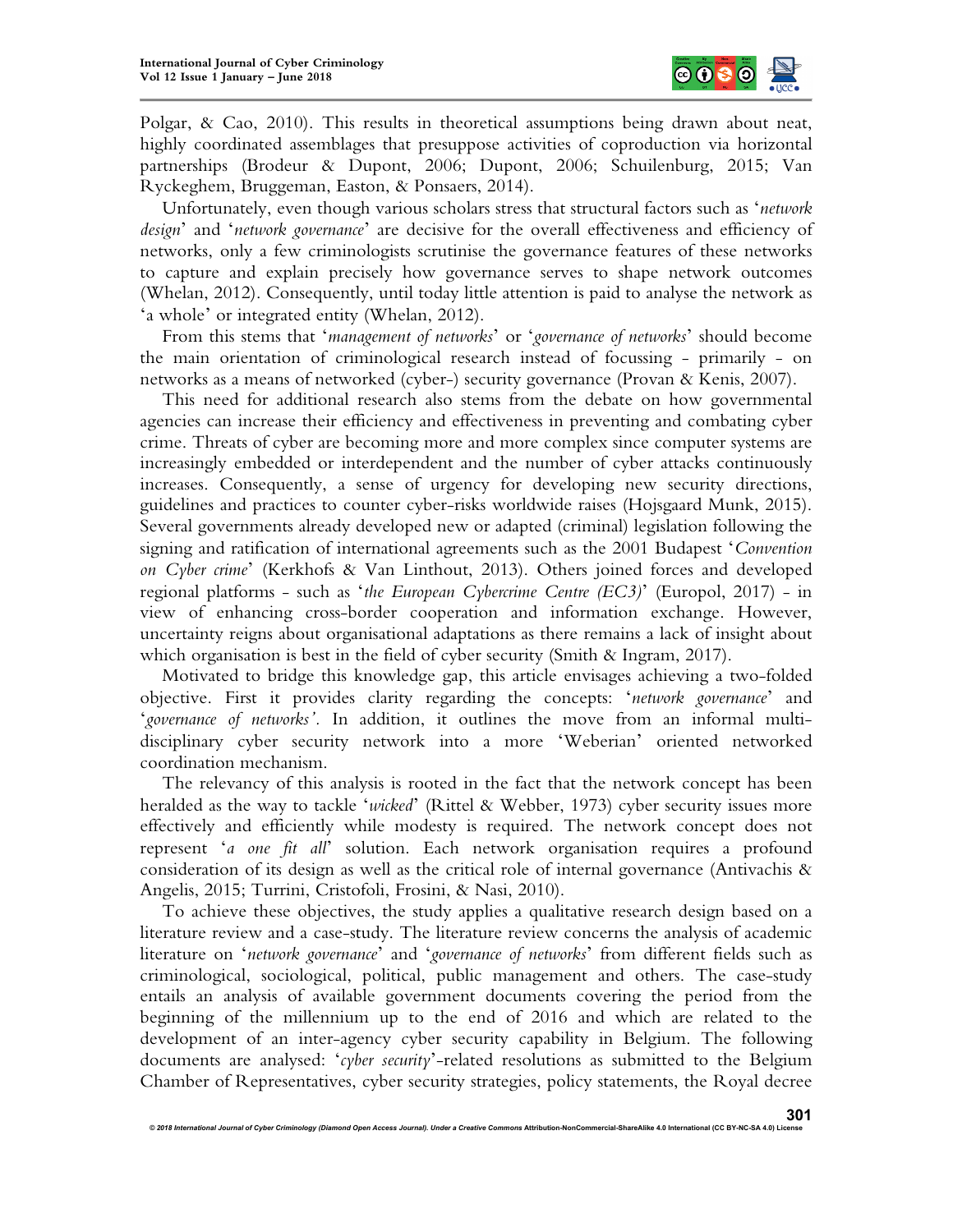

Polgar,  $\&$  Cao, 2010). This results in theoretical assumptions being drawn about neat, highly coordinated assemblages that presuppose activities of coproduction via horizontal partnerships (Brodeur & Dupont, 2006; Dupont, 2006; Schuilenburg, 2015; Van Ryckeghem, Bruggeman, Easton, & Ponsaers, 2014).

Unfortunately, even though various scholars stress that structural factors such as '*network design*' and '*network governance*' are decisive for the overall effectiveness and efficiency of networks, only a few criminologists scrutinise the governance features of these networks to capture and explain precisely how governance serves to shape network outcomes (Whelan, 2012). Consequently, until today little attention is paid to analyse the network as 'a whole' or integrated entity (Whelan, 2012).

From this stems that '*management of networks*' or '*governance of networks*' should become the main orientation of criminological research instead of focussing - primarily - on networks as a means of networked (cyber-) security governance (Provan & Kenis, 2007).

This need for additional research also stems from the debate on how governmental agencies can increase their efficiency and effectiveness in preventing and combating cyber crime. Threats of cyber are becoming more and more complex since computer systems are increasingly embedded or interdependent and the number of cyber attacks continuously increases. Consequently, a sense of urgency for developing new security directions, guidelines and practices to counter cyber-risks worldwide raises (Hojsgaard Munk, 2015). Several governments already developed new or adapted (criminal) legislation following the signing and ratification of international agreements such as the 2001 Budapest '*Convention on Cyber crime*' (Kerkhofs & Van Linthout, 2013). Others joined forces and developed regional platforms - such as '*the European Cybercrime Centre (EC3)*' (Europol, 2017) - in view of enhancing cross-border cooperation and information exchange. However, uncertainty reigns about organisational adaptations as there remains a lack of insight about which organisation is best in the field of cyber security (Smith & Ingram, 2017).

Motivated to bridge this knowledge gap, this article envisages achieving a two-folded objective. First it provides clarity regarding the concepts: '*network governance*' and '*governance of networks'.* In addition, it outlines the move from an informal multidisciplinary cyber security network into a more 'Weberian' oriented networked coordination mechanism.

The relevancy of this analysis is rooted in the fact that the network concept has been heralded as the way to tackle '*wicked*' (Rittel & Webber, 1973) cyber security issues more effectively and efficiently while modesty is required. The network concept does not represent '*a one fit all*' solution. Each network organisation requires a profound consideration of its design as well as the critical role of internal governance (Antivachis  $\&$ Angelis, 2015; Turrini, Cristofoli, Frosini, & Nasi, 2010).

To achieve these objectives, the study applies a qualitative research design based on a literature review and a case-study. The literature review concerns the analysis of academic literature on '*network governance*' and '*governance of networks*' from different fields such as criminological, sociological, political, public management and others. The case-study entails an analysis of available government documents covering the period from the beginning of the millennium up to the end of 2016 and which are related to the development of an inter-agency cyber security capability in Belgium. The following documents are analysed: '*cyber security*'-related resolutions as submitted to the Belgium Chamber of Representatives, cyber security strategies, policy statements, the Royal decree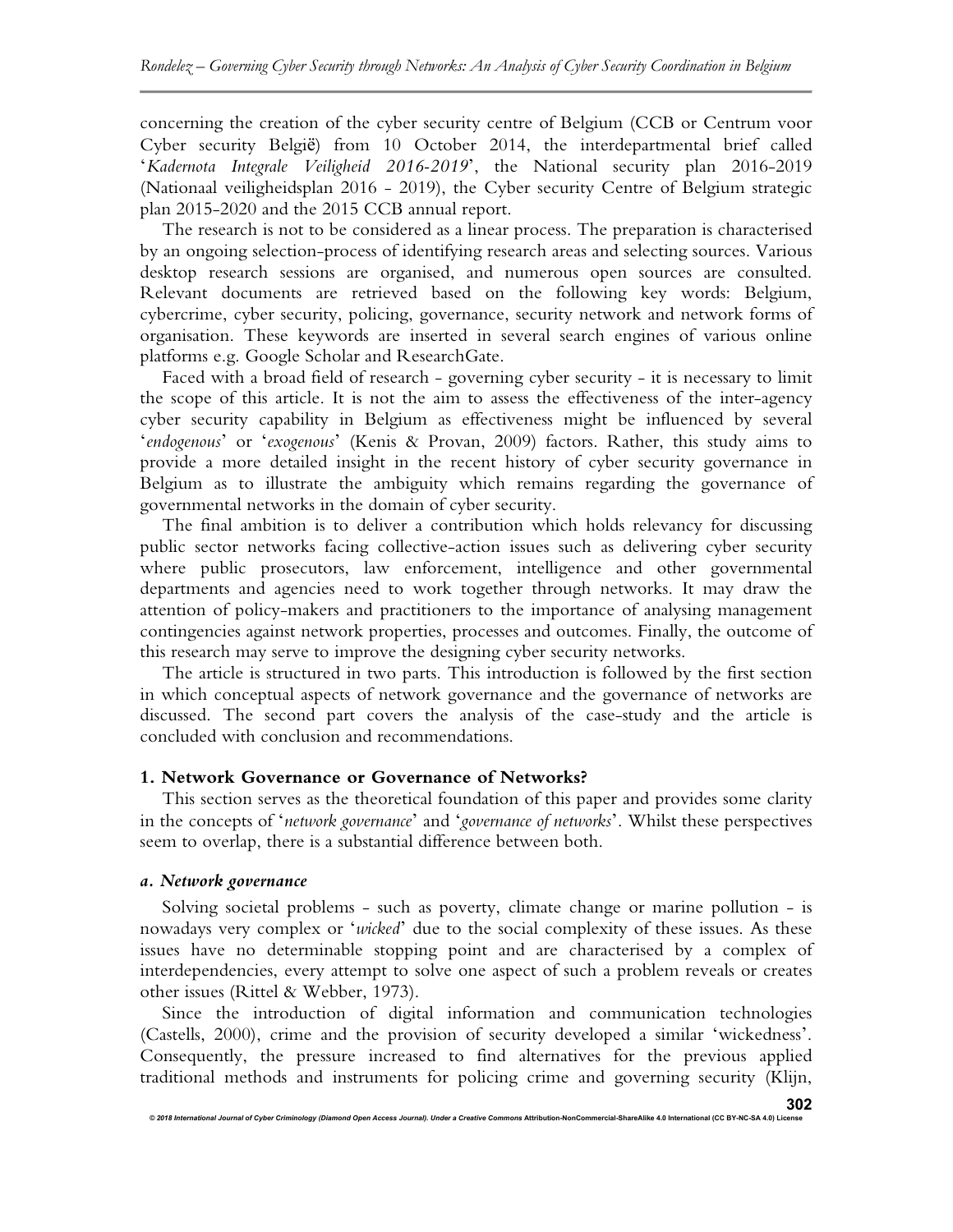concerning the creation of the cyber security centre of Belgium (CCB or Centrum voor Cyber security België) from 10 October 2014, the interdepartmental brief called '*Kadernota Integrale Veiligheid 2016-2019*', the National security plan 2016-2019 (Nationaal veiligheidsplan 2016 - 2019), the Cyber security Centre of Belgium strategic plan 2015-2020 and the 2015 CCB annual report.

The research is not to be considered as a linear process. The preparation is characterised by an ongoing selection-process of identifying research areas and selecting sources. Various desktop research sessions are organised, and numerous open sources are consulted. Relevant documents are retrieved based on the following key words: Belgium, cybercrime, cyber security, policing, governance, security network and network forms of organisation. These keywords are inserted in several search engines of various online platforms e.g. Google Scholar and ResearchGate.

Faced with a broad field of research - governing cyber security - it is necessary to limit the scope of this article. It is not the aim to assess the effectiveness of the inter-agency cyber security capability in Belgium as effectiveness might be influenced by several '*endogenous*' or '*exogenous*' (Kenis & Provan, 2009) factors. Rather, this study aims to provide a more detailed insight in the recent history of cyber security governance in Belgium as to illustrate the ambiguity which remains regarding the governance of governmental networks in the domain of cyber security.

The final ambition is to deliver a contribution which holds relevancy for discussing public sector networks facing collective-action issues such as delivering cyber security where public prosecutors, law enforcement, intelligence and other governmental departments and agencies need to work together through networks. It may draw the attention of policy-makers and practitioners to the importance of analysing management contingencies against network properties, processes and outcomes. Finally, the outcome of this research may serve to improve the designing cyber security networks.

The article is structured in two parts. This introduction is followed by the first section in which conceptual aspects of network governance and the governance of networks are discussed. The second part covers the analysis of the case-study and the article is concluded with conclusion and recommendations.

#### **1. Network Governance or Governance of Networks?**

This section serves as the theoretical foundation of this paper and provides some clarity in the concepts of '*network governance*' and '*governance of networks*'. Whilst these perspectives seem to overlap, there is a substantial difference between both.

#### *a. Network governance*

Solving societal problems - such as poverty, climate change or marine pollution - is nowadays very complex or '*wicked*' due to the social complexity of these issues. As these issues have no determinable stopping point and are characterised by a complex of interdependencies, every attempt to solve one aspect of such a problem reveals or creates other issues (Rittel & Webber, 1973).

Since the introduction of digital information and communication technologies (Castells, 2000), crime and the provision of security developed a similar 'wickedness'. Consequently, the pressure increased to find alternatives for the previous applied traditional methods and instruments for policing crime and governing security (Klijn,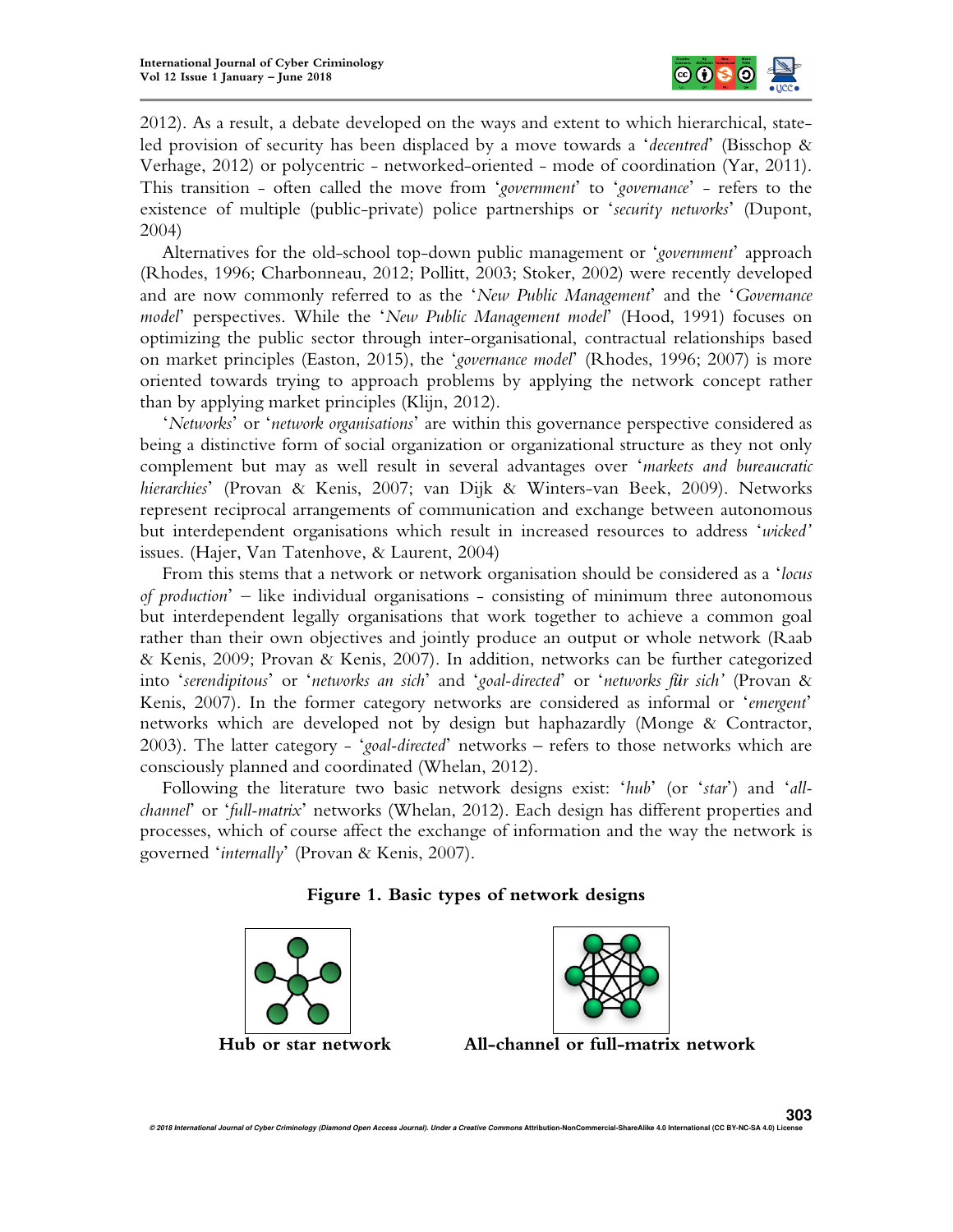

2012). As a result, a debate developed on the ways and extent to which hierarchical, stateled provision of security has been displaced by a move towards a '*decentred*' (Bisschop & Verhage, 2012) or polycentric - networked-oriented - mode of coordination (Yar, 2011). This transition - often called the move from '*government*' to '*governance*' - refers to the existence of multiple (public-private) police partnerships or '*security networks*' (Dupont, 2004)

Alternatives for the old-school top-down public management or '*government*' approach (Rhodes, 1996; Charbonneau, 2012; Pollitt, 2003; Stoker, 2002) were recently developed and are now commonly referred to as the '*New Public Management*' and the '*Governance model*' perspectives. While the '*New Public Management model*' (Hood, 1991) focuses on optimizing the public sector through inter-organisational, contractual relationships based on market principles (Easton, 2015), the '*governance model*' (Rhodes, 1996; 2007) is more oriented towards trying to approach problems by applying the network concept rather than by applying market principles (Klijn, 2012).

'*Networks*' or '*network organisations*' are within this governance perspective considered as being a distinctive form of social organization or organizational structure as they not only complement but may as well result in several advantages over '*markets and bureaucratic hierarchies*' (Provan & Kenis, 2007; van Dijk & Winters-van Beek, 2009). Networks represent reciprocal arrangements of communication and exchange between autonomous but interdependent organisations which result in increased resources to address '*wicked'* issues. (Hajer, Van Tatenhove, & Laurent, 2004)

From this stems that a network or network organisation should be considered as a '*locus of production*' – like individual organisations - consisting of minimum three autonomous but interdependent legally organisations that work together to achieve a common goal rather than their own objectives and jointly produce an output or whole network (Raab & Kenis, 2009; Provan & Kenis, 2007). In addition, networks can be further categorized into '*serendipitous*' or '*networks an sich*' and '*goal-directed*' or '*networks für sich'* (Provan & Kenis, 2007). In the former category networks are considered as informal or '*emergent*' networks which are developed not by design but haphazardly (Monge & Contractor, 2003). The latter category - '*goal-directed*' networks – refers to those networks which are consciously planned and coordinated (Whelan, 2012).

Following the literature two basic network designs exist: '*hub*' (or '*star*') and '*allchannel*' or '*full-matrix*' networks (Whelan, 2012). Each design has different properties and processes, which of course affect the exchange of information and the way the network is governed '*internally*' (Provan & Kenis, 2007).

# **Figure 1. Basic types of network designs**





**Hub or star network All-channel or full-matrix network**

© 2018 International Journal of Cyber Criminology (Diamond Open Access Journal). Under a Creative Commons Attribution-NonCommercial-ShareAlike 4.0 International (CC BY-NC-SA 4.0) Licen **303**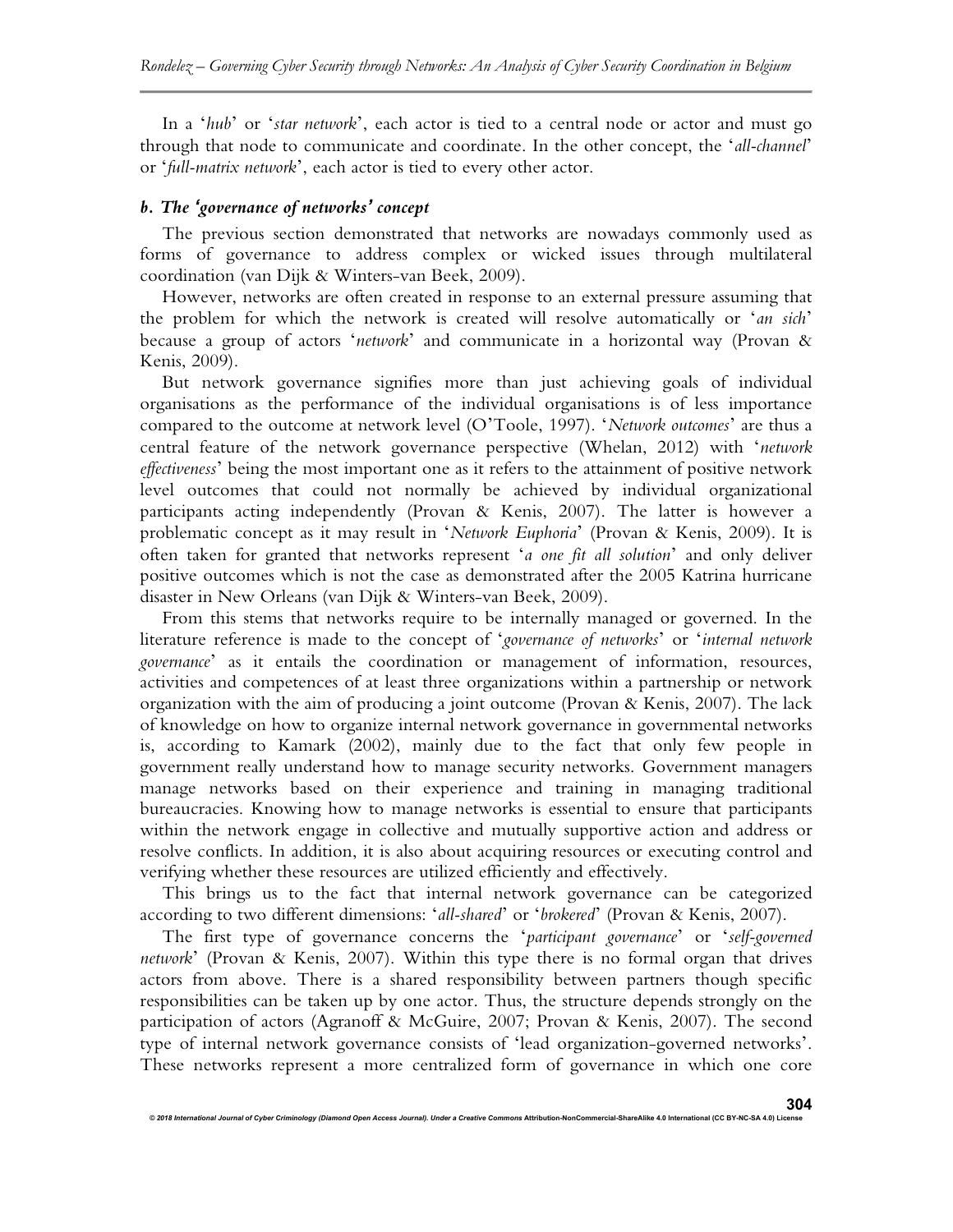In a '*hub*' or '*star network*', each actor is tied to a central node or actor and must go through that node to communicate and coordinate. In the other concept, the '*all-channel*' or '*full-matrix network*', each actor is tied to every other actor.

#### *b. The 'governance of networks' concept*

The previous section demonstrated that networks are nowadays commonly used as forms of governance to address complex or wicked issues through multilateral coordination (van Dijk & Winters-van Beek, 2009).

However, networks are often created in response to an external pressure assuming that the problem for which the network is created will resolve automatically or '*an sich*' because a group of actors '*network*' and communicate in a horizontal way (Provan & Kenis, 2009).

But network governance signifies more than just achieving goals of individual organisations as the performance of the individual organisations is of less importance compared to the outcome at network level (O'Toole, 1997). '*Network outcomes*' are thus a central feature of the network governance perspective (Whelan, 2012) with '*network effectiveness*' being the most important one as it refers to the attainment of positive network level outcomes that could not normally be achieved by individual organizational participants acting independently (Provan & Kenis, 2007). The latter is however a problematic concept as it may result in '*Network Euphoria*' (Provan & Kenis, 2009). It is often taken for granted that networks represent '*a one fit all solution*' and only deliver positive outcomes which is not the case as demonstrated after the 2005 Katrina hurricane disaster in New Orleans (van Dijk & Winters-van Beek, 2009).

From this stems that networks require to be internally managed or governed. In the literature reference is made to the concept of '*governance of networks*' or '*internal network governance*' as it entails the coordination or management of information, resources, activities and competences of at least three organizations within a partnership or network organization with the aim of producing a joint outcome (Provan & Kenis, 2007). The lack of knowledge on how to organize internal network governance in governmental networks is, according to Kamark (2002), mainly due to the fact that only few people in government really understand how to manage security networks. Government managers manage networks based on their experience and training in managing traditional bureaucracies. Knowing how to manage networks is essential to ensure that participants within the network engage in collective and mutually supportive action and address or resolve conflicts. In addition, it is also about acquiring resources or executing control and verifying whether these resources are utilized efficiently and effectively.

This brings us to the fact that internal network governance can be categorized according to two different dimensions: '*all-shared*' or '*brokered*' (Provan & Kenis, 2007).

The first type of governance concerns the '*participant governance*' or '*self-governed network*' (Provan & Kenis, 2007). Within this type there is no formal organ that drives actors from above. There is a shared responsibility between partners though specific responsibilities can be taken up by one actor. Thus, the structure depends strongly on the participation of actors (Agranoff & McGuire, 2007; Provan & Kenis, 2007). The second type of internal network governance consists of 'lead organization-governed networks'. These networks represent a more centralized form of governance in which one core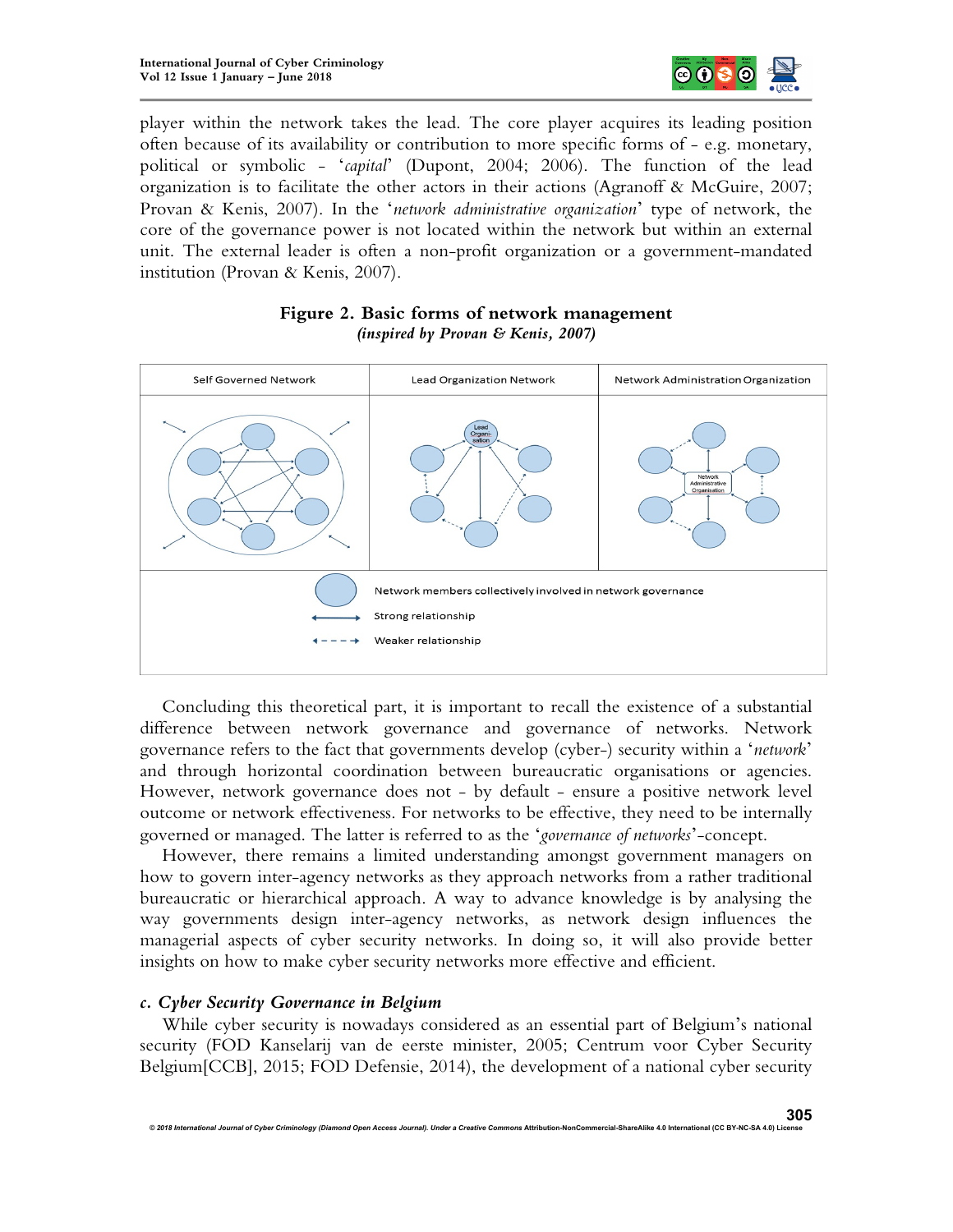

player within the network takes the lead. The core player acquires its leading position often because of its availability or contribution to more specific forms of - e.g. monetary, political or symbolic - '*capital*' (Dupont, 2004; 2006). The function of the lead organization is to facilitate the other actors in their actions (Agranoff & McGuire, 2007; Provan & Kenis, 2007). In the '*network administrative organization*' type of network, the core of the governance power is not located within the network but within an external unit. The external leader is often a non-profit organization or a government-mandated institution (Provan & Kenis, 2007).



## **Figure 2. Basic forms of network management**  *(inspired by Provan & Kenis, 2007)*

Concluding this theoretical part, it is important to recall the existence of a substantial difference between network governance and governance of networks. Network governance refers to the fact that governments develop (cyber-) security within a '*network*' and through horizontal coordination between bureaucratic organisations or agencies. However, network governance does not - by default - ensure a positive network level outcome or network effectiveness. For networks to be effective, they need to be internally governed or managed. The latter is referred to as the '*governance of networks*'-concept.

However, there remains a limited understanding amongst government managers on how to govern inter-agency networks as they approach networks from a rather traditional bureaucratic or hierarchical approach. A way to advance knowledge is by analysing the way governments design inter-agency networks, as network design influences the managerial aspects of cyber security networks. In doing so, it will also provide better insights on how to make cyber security networks more effective and efficient.

#### *c. Cyber Security Governance in Belgium*

While cyber security is nowadays considered as an essential part of Belgium's national security (FOD Kanselarij van de eerste minister, 2005; Centrum voor Cyber Security Belgium[CCB], 2015; FOD Defensie, 2014), the development of a national cyber security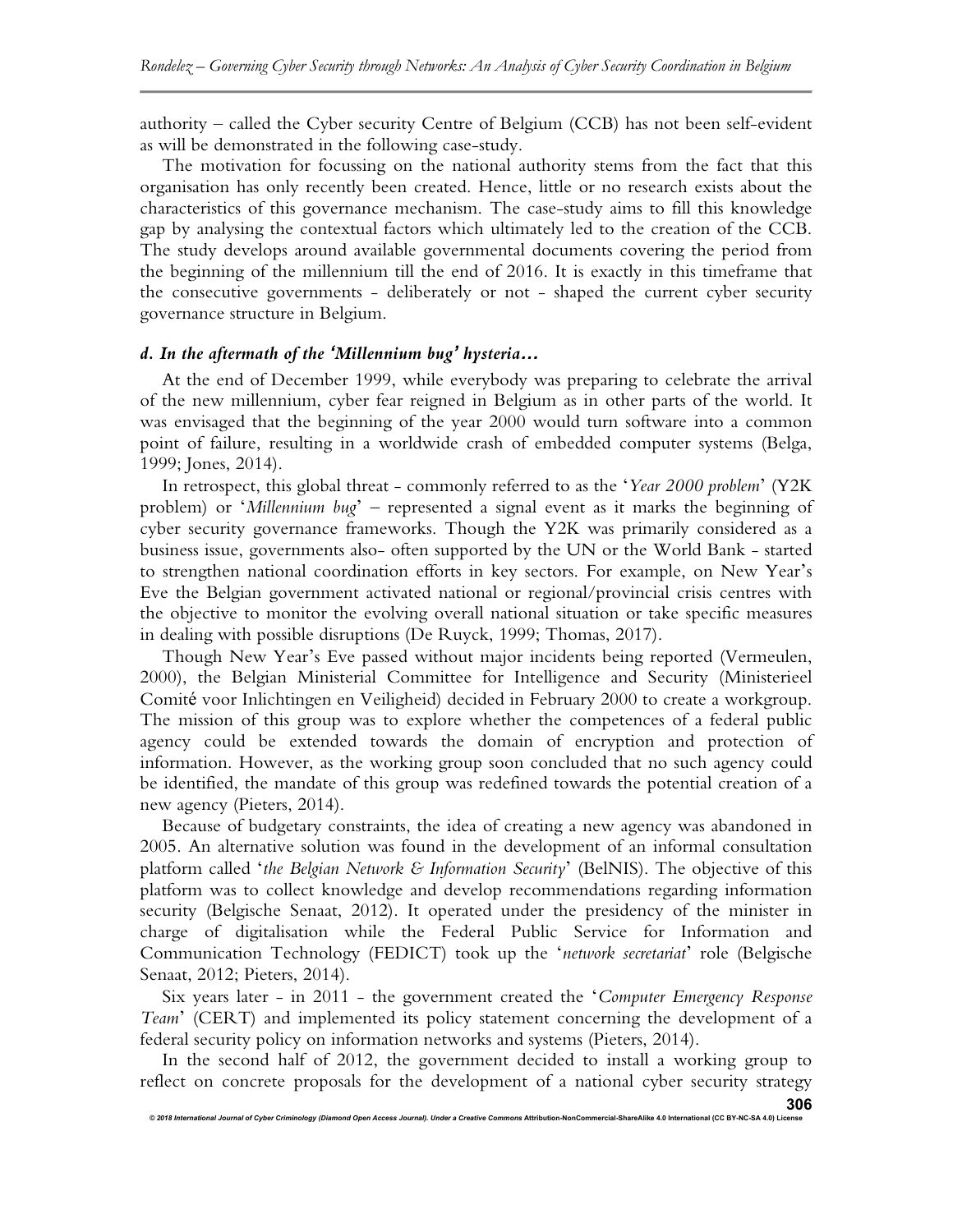authority – called the Cyber security Centre of Belgium (CCB) has not been self-evident as will be demonstrated in the following case-study.

The motivation for focussing on the national authority stems from the fact that this organisation has only recently been created. Hence, little or no research exists about the characteristics of this governance mechanism. The case-study aims to fill this knowledge gap by analysing the contextual factors which ultimately led to the creation of the CCB. The study develops around available governmental documents covering the period from the beginning of the millennium till the end of 2016. It is exactly in this timeframe that the consecutive governments - deliberately or not - shaped the current cyber security governance structure in Belgium.

#### *d. In the aftermath of the 'Millennium bug' hysteria&*

At the end of December 1999, while everybody was preparing to celebrate the arrival of the new millennium, cyber fear reigned in Belgium as in other parts of the world. It was envisaged that the beginning of the year 2000 would turn software into a common point of failure, resulting in a worldwide crash of embedded computer systems (Belga, 1999; Jones, 2014).

In retrospect, this global threat - commonly referred to as the '*Year 2000 problem*' (Y2K problem) or '*Millennium bug*' – represented a signal event as it marks the beginning of cyber security governance frameworks. Though the Y2K was primarily considered as a business issue, governments also- often supported by the UN or the World Bank - started to strengthen national coordination efforts in key sectors. For example, on New Year's Eve the Belgian government activated national or regional/provincial crisis centres with the objective to monitor the evolving overall national situation or take specific measures in dealing with possible disruptions (De Ruyck, 1999; Thomas, 2017).

Though New Year's Eve passed without major incidents being reported (Vermeulen, 2000), the Belgian Ministerial Committee for Intelligence and Security (Ministerieel Comité voor Inlichtingen en Veiligheid) decided in February 2000 to create a workgroup. The mission of this group was to explore whether the competences of a federal public agency could be extended towards the domain of encryption and protection of information. However, as the working group soon concluded that no such agency could be identified, the mandate of this group was redefined towards the potential creation of a new agency (Pieters, 2014).

Because of budgetary constraints, the idea of creating a new agency was abandoned in 2005. An alternative solution was found in the development of an informal consultation platform called '*the Belgian Network & Information Security*' (BelNIS). The objective of this platform was to collect knowledge and develop recommendations regarding information security (Belgische Senaat, 2012). It operated under the presidency of the minister in charge of digitalisation while the Federal Public Service for Information and Communication Technology (FEDICT) took up the '*network secretariat*' role (Belgische Senaat, 2012; Pieters, 2014).

Six years later - in 2011 - the government created the '*Computer Emergency Response Team*' (CERT) and implemented its policy statement concerning the development of a federal security policy on information networks and systems (Pieters, 2014).

In the second half of 2012, the government decided to install a working group to reflect on concrete proposals for the development of a national cyber security strategy

*© 2018 International Journal of Cyber Criminology (Diamond Open Access Journal). Under a Creative Commons* **Attribution-NonCommercial-ShareAlike 4.0 International (CC BY-NC-SA 4.0) License**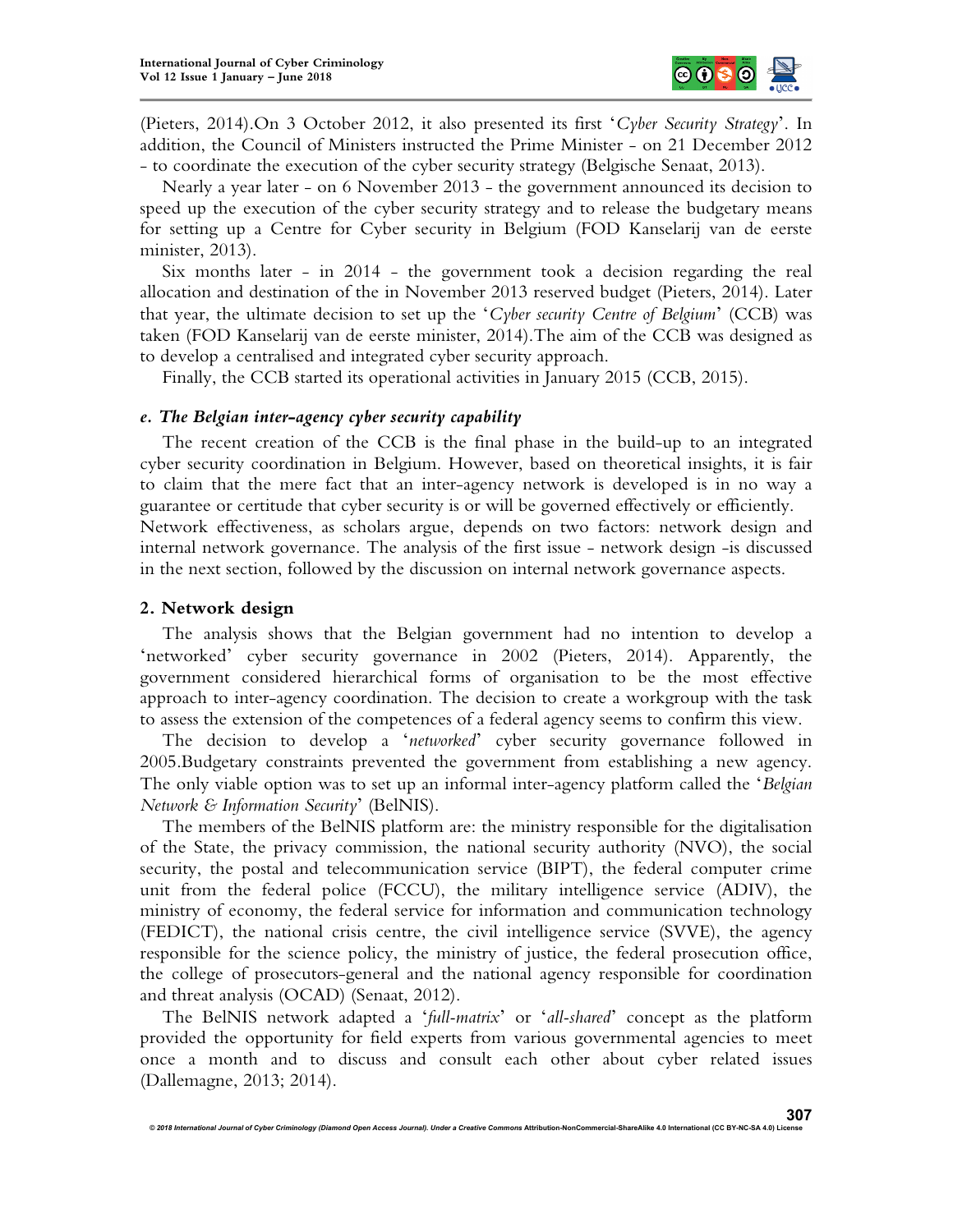

(Pieters, 2014).On 3 October 2012, it also presented its first '*Cyber Security Strategy*'. In addition, the Council of Ministers instructed the Prime Minister - on 21 December 2012 - to coordinate the execution of the cyber security strategy (Belgische Senaat, 2013).

Nearly a year later - on 6 November 2013 - the government announced its decision to speed up the execution of the cyber security strategy and to release the budgetary means for setting up a Centre for Cyber security in Belgium (FOD Kanselarij van de eerste minister, 2013).

Six months later - in 2014 - the government took a decision regarding the real allocation and destination of the in November 2013 reserved budget (Pieters, 2014). Later that year, the ultimate decision to set up the '*Cyber security Centre of Belgium*' (CCB) was taken (FOD Kanselarij van de eerste minister, 2014).The aim of the CCB was designed as to develop a centralised and integrated cyber security approach.

Finally, the CCB started its operational activities in January 2015 (CCB, 2015).

#### *e. The Belgian inter-agency cyber security capability*

The recent creation of the CCB is the final phase in the build-up to an integrated cyber security coordination in Belgium. However, based on theoretical insights, it is fair to claim that the mere fact that an inter-agency network is developed is in no way a guarantee or certitude that cyber security is or will be governed effectively or efficiently. Network effectiveness, as scholars argue, depends on two factors: network design and internal network governance. The analysis of the first issue - network design -is discussed in the next section, followed by the discussion on internal network governance aspects.

#### **2. Network design**

The analysis shows that the Belgian government had no intention to develop a 'networked' cyber security governance in 2002 (Pieters, 2014). Apparently, the government considered hierarchical forms of organisation to be the most effective approach to inter-agency coordination. The decision to create a workgroup with the task to assess the extension of the competences of a federal agency seems to confirm this view.

The decision to develop a '*networked*' cyber security governance followed in 2005.Budgetary constraints prevented the government from establishing a new agency. The only viable option was to set up an informal inter-agency platform called the '*Belgian Network & Information Security*' (BelNIS).

The members of the BelNIS platform are: the ministry responsible for the digitalisation of the State, the privacy commission, the national security authority (NVO), the social security, the postal and telecommunication service (BIPT), the federal computer crime unit from the federal police (FCCU), the military intelligence service (ADIV), the ministry of economy, the federal service for information and communication technology (FEDICT), the national crisis centre, the civil intelligence service (SVVE), the agency responsible for the science policy, the ministry of justice, the federal prosecution office, the college of prosecutors-general and the national agency responsible for coordination and threat analysis (OCAD) (Senaat, 2012).

The BelNIS network adapted a '*full-matrix*' or '*all-shared*' concept as the platform provided the opportunity for field experts from various governmental agencies to meet once a month and to discuss and consult each other about cyber related issues (Dallemagne, 2013; 2014).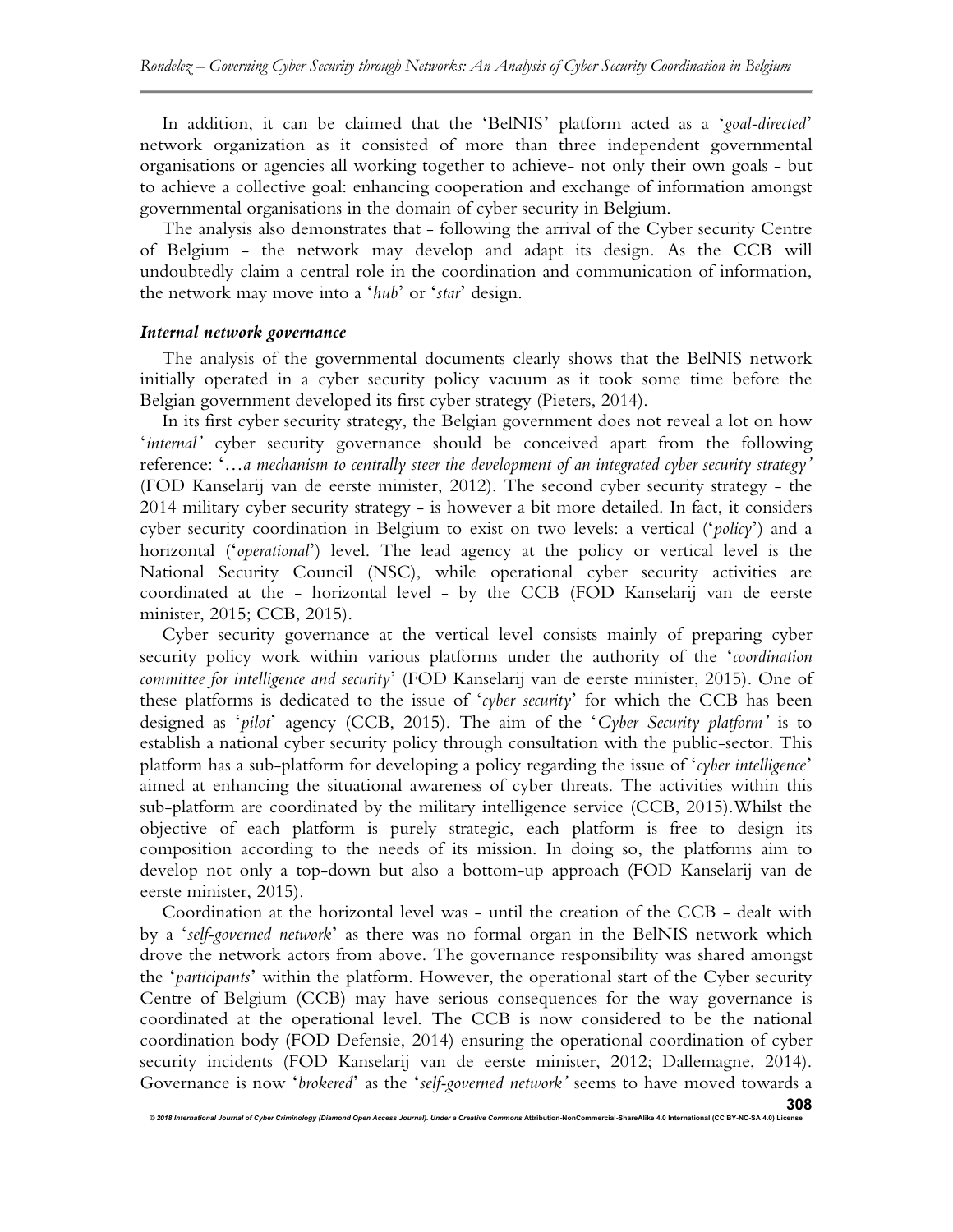In addition, it can be claimed that the 'BelNIS' platform acted as a '*goal-directed*' network organization as it consisted of more than three independent governmental organisations or agencies all working together to achieve- not only their own goals - but to achieve a collective goal: enhancing cooperation and exchange of information amongst governmental organisations in the domain of cyber security in Belgium.

The analysis also demonstrates that - following the arrival of the Cyber security Centre of Belgium - the network may develop and adapt its design. As the CCB will undoubtedly claim a central role in the coordination and communication of information, the network may move into a '*hub*' or '*star*' design.

# *Internal network governance*

The analysis of the governmental documents clearly shows that the BelNIS network initially operated in a cyber security policy vacuum as it took some time before the Belgian government developed its first cyber strategy (Pieters, 2014).

In its first cyber security strategy, the Belgian government does not reveal a lot on how '*internal'* cyber security governance should be conceived apart from the following reference: '…*a mechanism to centrally steer the development of an integrated cyber security strategy'* (FOD Kanselarij van de eerste minister, 2012). The second cyber security strategy - the 2014 military cyber security strategy - is however a bit more detailed. In fact, it considers cyber security coordination in Belgium to exist on two levels: a vertical ('*policy*') and a horizontal ('*operational*') level. The lead agency at the policy or vertical level is the National Security Council (NSC), while operational cyber security activities are coordinated at the - horizontal level - by the CCB (FOD Kanselarij van de eerste minister, 2015; CCB, 2015).

Cyber security governance at the vertical level consists mainly of preparing cyber security policy work within various platforms under the authority of the '*coordination committee for intelligence and security*' (FOD Kanselarij van de eerste minister, 2015). One of these platforms is dedicated to the issue of '*cyber security*' for which the CCB has been designed as '*pilot*' agency (CCB, 2015). The aim of the '*Cyber Security platform'* is to establish a national cyber security policy through consultation with the public-sector. This platform has a sub-platform for developing a policy regarding the issue of '*cyber intelligence*' aimed at enhancing the situational awareness of cyber threats. The activities within this sub-platform are coordinated by the military intelligence service (CCB, 2015).Whilst the objective of each platform is purely strategic, each platform is free to design its composition according to the needs of its mission. In doing so, the platforms aim to develop not only a top-down but also a bottom-up approach (FOD Kanselarij van de eerste minister, 2015).

Coordination at the horizontal level was - until the creation of the CCB - dealt with by a '*self-governed network*' as there was no formal organ in the BelNIS network which drove the network actors from above. The governance responsibility was shared amongst the '*participants*' within the platform. However, the operational start of the Cyber security Centre of Belgium (CCB) may have serious consequences for the way governance is coordinated at the operational level. The CCB is now considered to be the national coordination body (FOD Defensie, 2014) ensuring the operational coordination of cyber security incidents (FOD Kanselarij van de eerste minister, 2012; Dallemagne, 2014). Governance is now '*brokered*' as the '*self-governed network'* seems to have moved towards a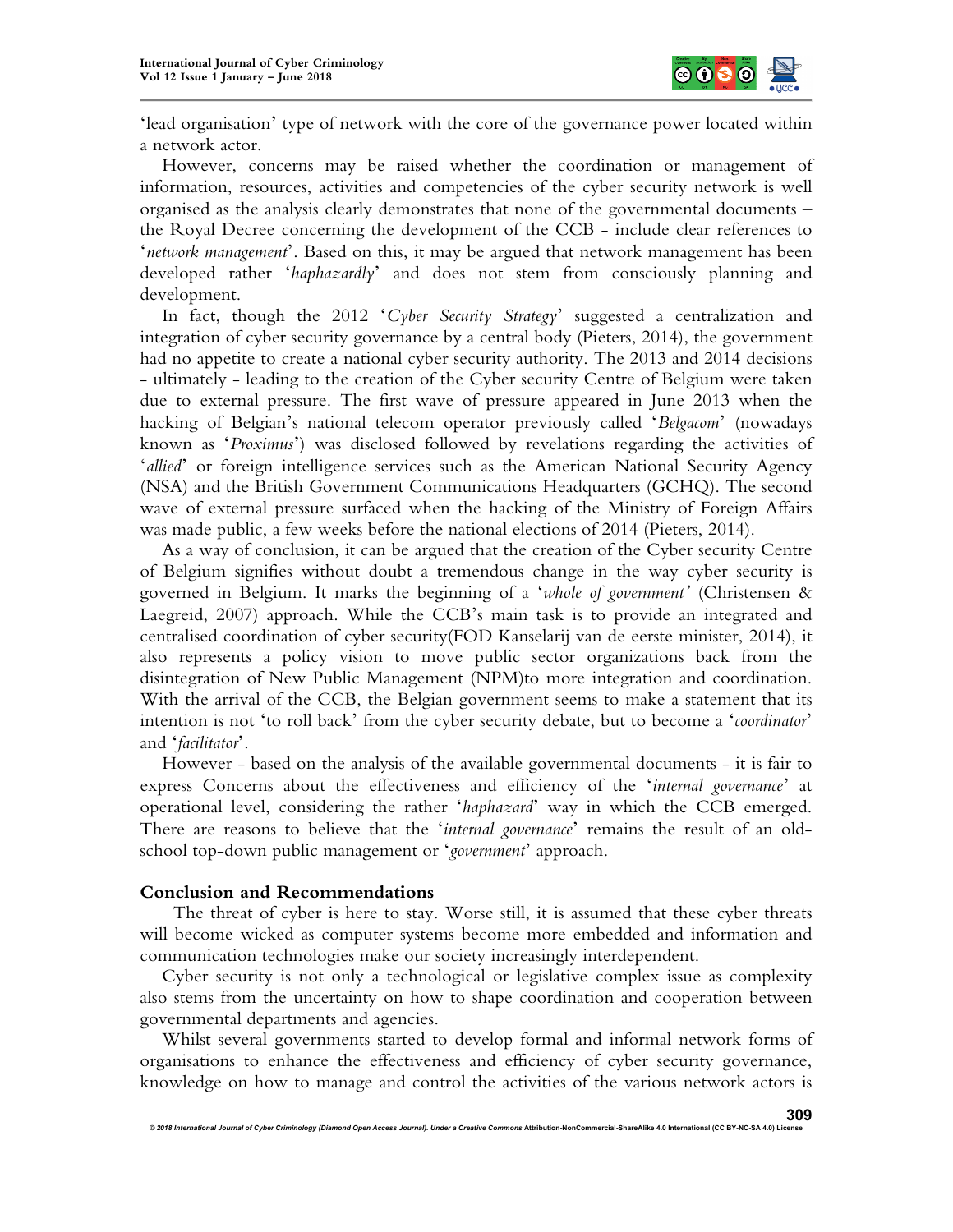

'lead organisation' type of network with the core of the governance power located within a network actor.

However, concerns may be raised whether the coordination or management of information, resources, activities and competencies of the cyber security network is well organised as the analysis clearly demonstrates that none of the governmental documents – the Royal Decree concerning the development of the CCB - include clear references to '*network management*'. Based on this, it may be argued that network management has been developed rather '*haphazardly*' and does not stem from consciously planning and development.

In fact, though the 2012 '*Cyber Security Strategy*' suggested a centralization and integration of cyber security governance by a central body (Pieters, 2014), the government had no appetite to create a national cyber security authority. The 2013 and 2014 decisions - ultimately - leading to the creation of the Cyber security Centre of Belgium were taken due to external pressure. The first wave of pressure appeared in June 2013 when the hacking of Belgian's national telecom operator previously called '*Belgacom*' (nowadays known as '*Proximus*') was disclosed followed by revelations regarding the activities of '*allied*' or foreign intelligence services such as the American National Security Agency (NSA) and the British Government Communications Headquarters (GCHQ). The second wave of external pressure surfaced when the hacking of the Ministry of Foreign Affairs was made public, a few weeks before the national elections of 2014 (Pieters, 2014).

As a way of conclusion, it can be argued that the creation of the Cyber security Centre of Belgium signifies without doubt a tremendous change in the way cyber security is governed in Belgium. It marks the beginning of a '*whole of government'* (Christensen & Laegreid, 2007) approach. While the CCB's main task is to provide an integrated and centralised coordination of cyber security(FOD Kanselarij van de eerste minister, 2014), it also represents a policy vision to move public sector organizations back from the disintegration of New Public Management (NPM)to more integration and coordination. With the arrival of the CCB, the Belgian government seems to make a statement that its intention is not 'to roll back' from the cyber security debate, but to become a '*coordinator*' and '*facilitator*'.

However - based on the analysis of the available governmental documents - it is fair to express Concerns about the effectiveness and efficiency of the '*internal governance*' at operational level, considering the rather '*haphazard*' way in which the CCB emerged. There are reasons to believe that the '*internal governance*' remains the result of an oldschool top-down public management or '*government*' approach.

#### **Conclusion and Recommendations**

The threat of cyber is here to stay. Worse still, it is assumed that these cyber threats will become wicked as computer systems become more embedded and information and communication technologies make our society increasingly interdependent.

Cyber security is not only a technological or legislative complex issue as complexity also stems from the uncertainty on how to shape coordination and cooperation between governmental departments and agencies.

Whilst several governments started to develop formal and informal network forms of organisations to enhance the effectiveness and efficiency of cyber security governance, knowledge on how to manage and control the activities of the various network actors is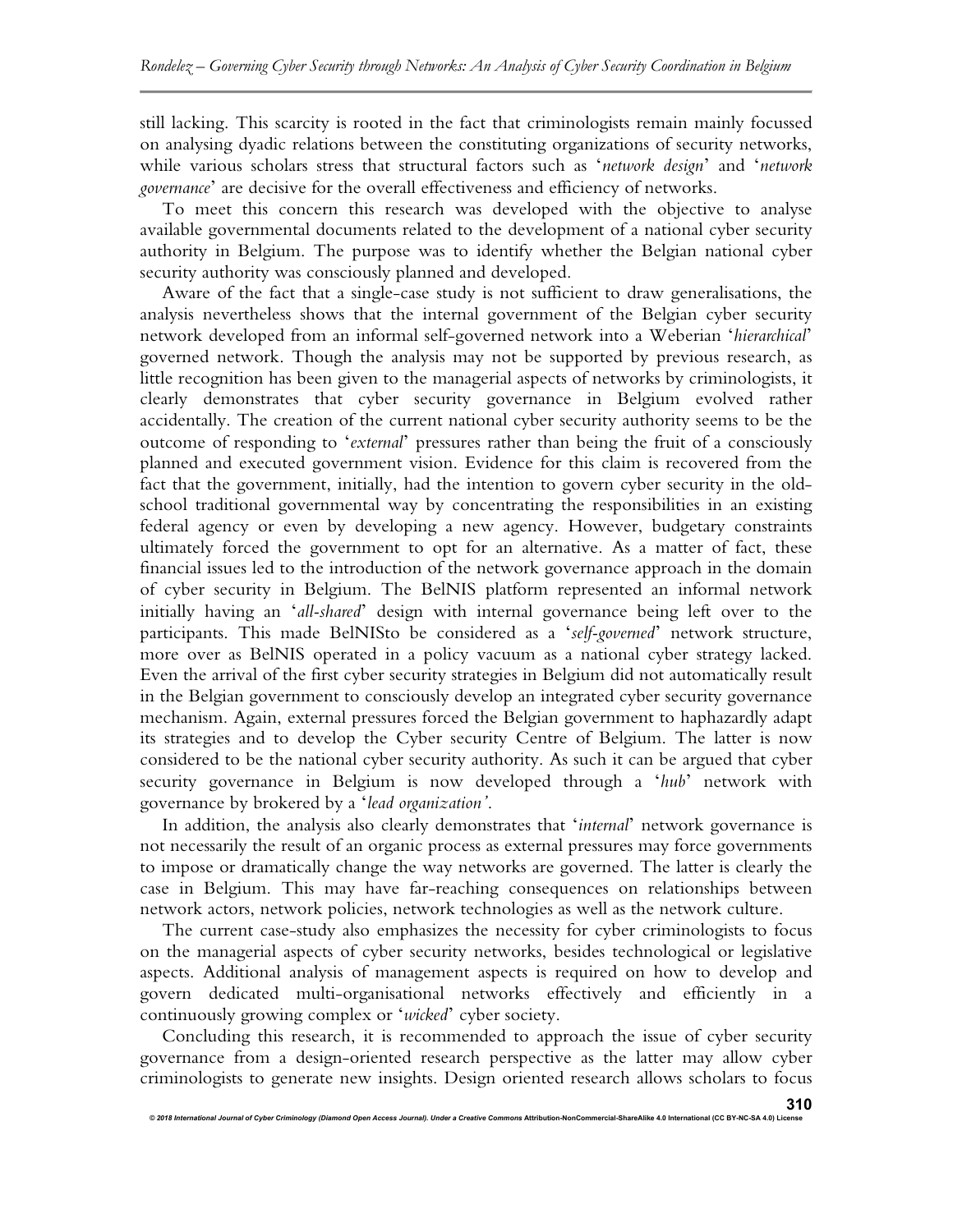still lacking. This scarcity is rooted in the fact that criminologists remain mainly focussed on analysing dyadic relations between the constituting organizations of security networks, while various scholars stress that structural factors such as '*network design*' and '*network governance*' are decisive for the overall effectiveness and efficiency of networks.

To meet this concern this research was developed with the objective to analyse available governmental documents related to the development of a national cyber security authority in Belgium. The purpose was to identify whether the Belgian national cyber security authority was consciously planned and developed.

Aware of the fact that a single-case study is not sufficient to draw generalisations, the analysis nevertheless shows that the internal government of the Belgian cyber security network developed from an informal self-governed network into a Weberian '*hierarchical*' governed network. Though the analysis may not be supported by previous research, as little recognition has been given to the managerial aspects of networks by criminologists, it clearly demonstrates that cyber security governance in Belgium evolved rather accidentally. The creation of the current national cyber security authority seems to be the outcome of responding to '*external*' pressures rather than being the fruit of a consciously planned and executed government vision. Evidence for this claim is recovered from the fact that the government, initially, had the intention to govern cyber security in the oldschool traditional governmental way by concentrating the responsibilities in an existing federal agency or even by developing a new agency. However, budgetary constraints ultimately forced the government to opt for an alternative. As a matter of fact, these financial issues led to the introduction of the network governance approach in the domain of cyber security in Belgium. The BelNIS platform represented an informal network initially having an '*all-shared*' design with internal governance being left over to the participants. This made BelNISto be considered as a '*self-governed*' network structure, more over as BelNIS operated in a policy vacuum as a national cyber strategy lacked. Even the arrival of the first cyber security strategies in Belgium did not automatically result in the Belgian government to consciously develop an integrated cyber security governance mechanism. Again, external pressures forced the Belgian government to haphazardly adapt its strategies and to develop the Cyber security Centre of Belgium. The latter is now considered to be the national cyber security authority. As such it can be argued that cyber security governance in Belgium is now developed through a '*hub*' network with governance by brokered by a '*lead organization'*.

In addition, the analysis also clearly demonstrates that '*internal*' network governance is not necessarily the result of an organic process as external pressures may force governments to impose or dramatically change the way networks are governed. The latter is clearly the case in Belgium. This may have far-reaching consequences on relationships between network actors, network policies, network technologies as well as the network culture.

The current case-study also emphasizes the necessity for cyber criminologists to focus on the managerial aspects of cyber security networks, besides technological or legislative aspects. Additional analysis of management aspects is required on how to develop and govern dedicated multi-organisational networks effectively and efficiently in a continuously growing complex or '*wicked*' cyber society.

Concluding this research, it is recommended to approach the issue of cyber security governance from a design-oriented research perspective as the latter may allow cyber criminologists to generate new insights. Design oriented research allows scholars to focus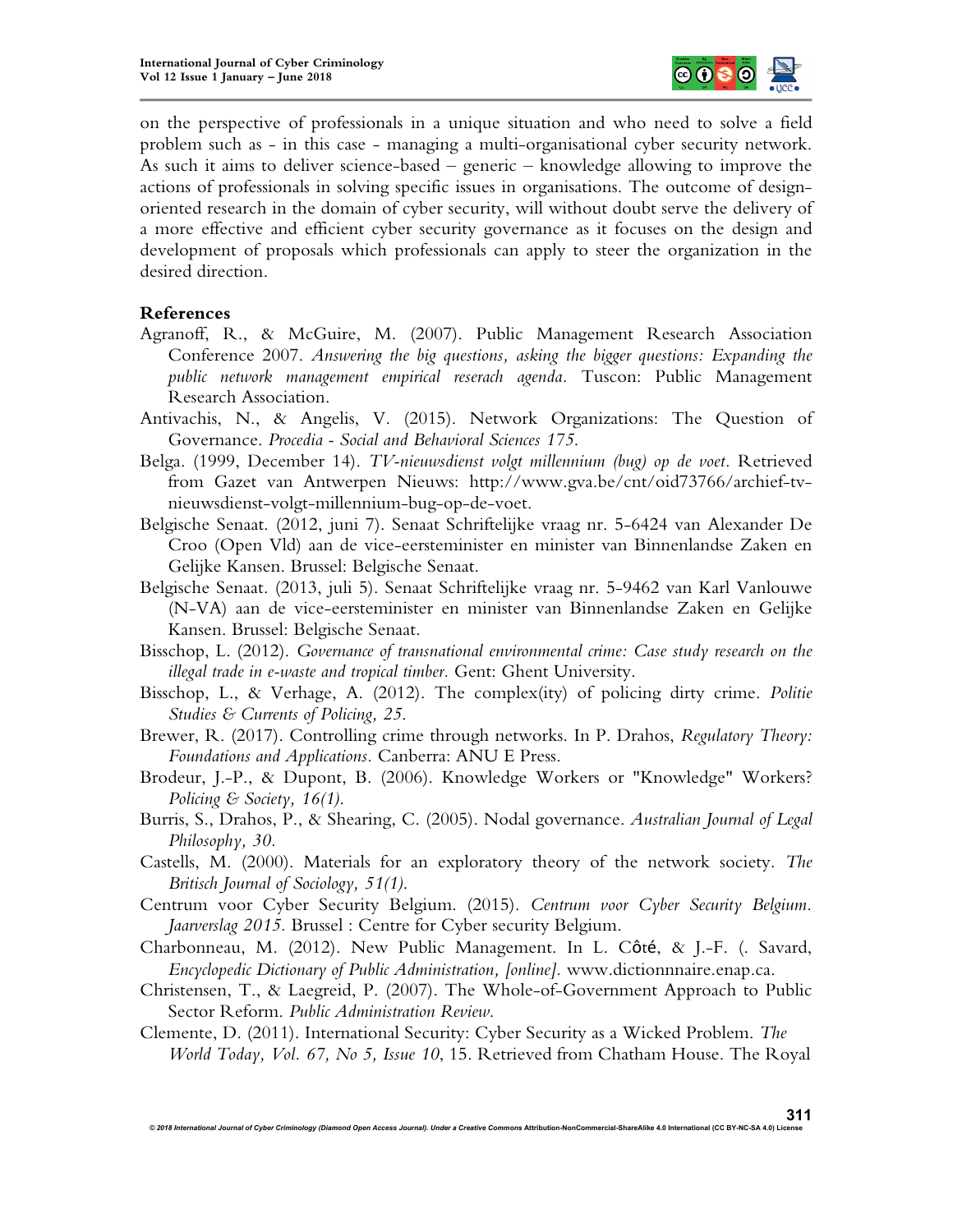

on the perspective of professionals in a unique situation and who need to solve a field problem such as - in this case - managing a multi-organisational cyber security network. As such it aims to deliver science-based – generic – knowledge allowing to improve the actions of professionals in solving specific issues in organisations. The outcome of designoriented research in the domain of cyber security, will without doubt serve the delivery of a more effective and efficient cyber security governance as it focuses on the design and development of proposals which professionals can apply to steer the organization in the desired direction.

## **References**

- Agranoff, R., & McGuire, M. (2007). Public Management Research Association Conference 2007. *Answering the big questions, asking the bigger questions: Expanding the public network management empirical reserach agenda.* Tuscon: Public Management Research Association.
- Antivachis, N., & Angelis, V. (2015). Network Organizations: The Question of Governance. *Procedia - Social and Behavioral Sciences 175*.
- Belga. (1999, December 14). *TV-nieuwsdienst volgt millennium (bug) op de voet.* Retrieved from Gazet van Antwerpen Nieuws: http://www.gva.be/cnt/oid73766/archief-tvnieuwsdienst-volgt-millennium-bug-op-de-voet.
- Belgische Senaat. (2012, juni 7). Senaat Schriftelijke vraag nr. 5-6424 van Alexander De Croo (Open Vld) aan de vice-eersteminister en minister van Binnenlandse Zaken en Gelijke Kansen. Brussel: Belgische Senaat.
- Belgische Senaat. (2013, juli 5). Senaat Schriftelijke vraag nr. 5-9462 van Karl Vanlouwe (N-VA) aan de vice-eersteminister en minister van Binnenlandse Zaken en Gelijke Kansen. Brussel: Belgische Senaat.
- Bisschop, L. (2012). *Governance of transnational environmental crime: Case study research on the illegal trade in e-waste and tropical timber.* Gent: Ghent University.
- Bisschop, L., & Verhage, A. (2012). The complex(ity) of policing dirty crime. *Politie Studies & Currents of Policing, 25*.
- Brewer, R. (2017). Controlling crime through networks. In P. Drahos, *Regulatory Theory: Foundations and Applications.* Canberra: ANU E Press.
- Brodeur, J.-P., & Dupont, B. (2006). Knowledge Workers or "Knowledge" Workers? *Policing & Society, 16(1)*.
- Burris, S., Drahos, P., & Shearing, C. (2005). Nodal governance. *Australian Journal of Legal Philosophy, 30.*
- Castells, M. (2000). Materials for an exploratory theory of the network society. *The Britisch Journal of Sociology, 51(1)*.
- Centrum voor Cyber Security Belgium. (2015). *Centrum voor Cyber Security Belgium. Jaarverslag 2015.* Brussel : Centre for Cyber security Belgium.
- Charbonneau, M. (2012). New Public Management. In L. Côté, & J.-F. (. Savard, *Encyclopedic Dictionary of Public Administration, [online].* www.dictionnnaire.enap.ca.
- Christensen, T., & Laegreid, P. (2007). The Whole-of-Government Approach to Public Sector Reform. *Public Administration Review*.
- Clemente, D. (2011). International Security: Cyber Security as a Wicked Problem. *The World Today, Vol. 67, No 5, Issue 10*, 15. Retrieved from Chatham House. The Royal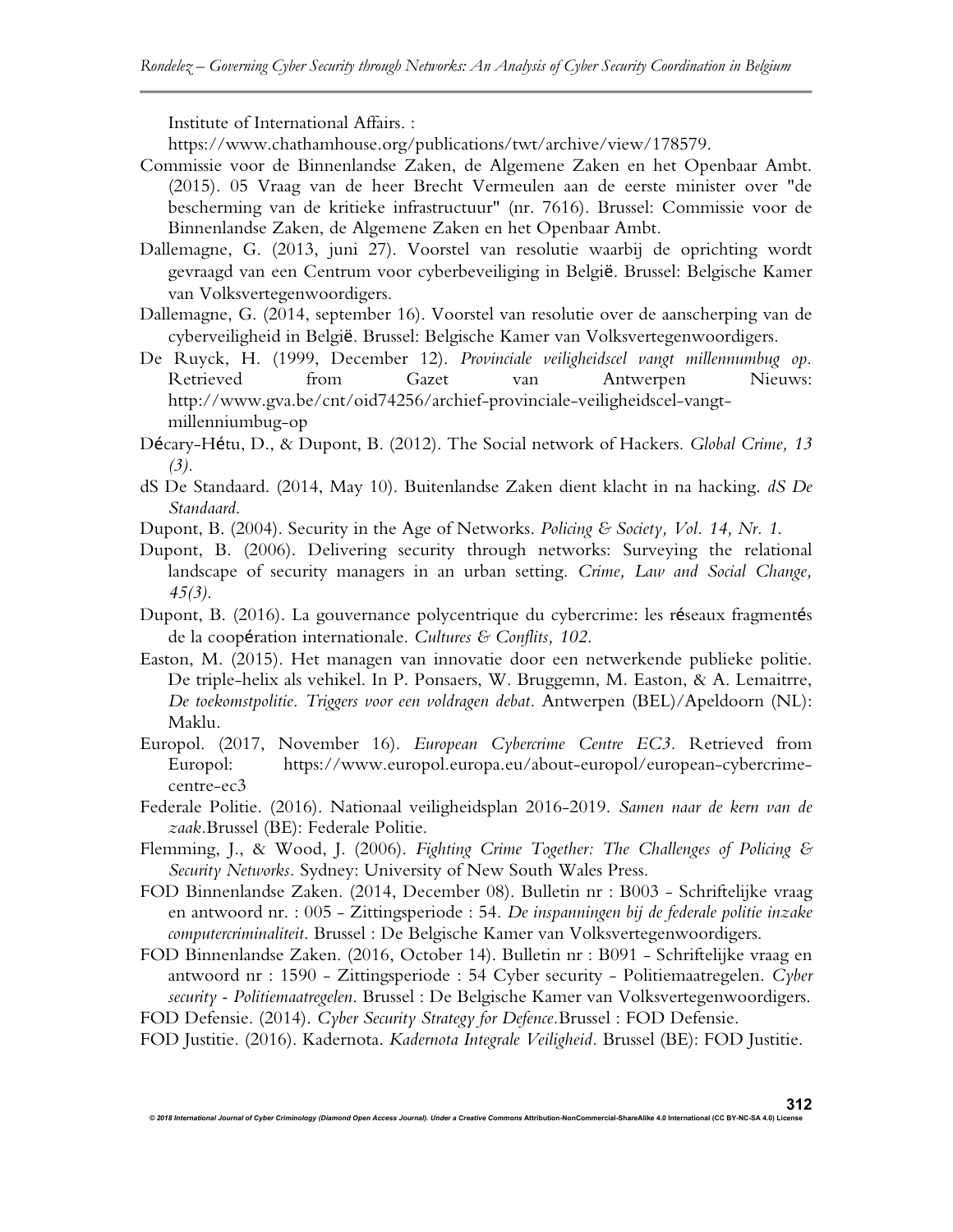Institute of International Affairs. :

https://www.chathamhouse.org/publications/twt/archive/view/178579.

- Commissie voor de Binnenlandse Zaken, de Algemene Zaken en het Openbaar Ambt. (2015). 05 Vraag van de heer Brecht Vermeulen aan de eerste minister over "de bescherming van de kritieke infrastructuur" (nr. 7616). Brussel: Commissie voor de Binnenlandse Zaken, de Algemene Zaken en het Openbaar Ambt.
- Dallemagne, G. (2013, juni 27). Voorstel van resolutie waarbij de oprichting wordt gevraagd van een Centrum voor cyberbeveiliging in België. Brussel: Belgische Kamer van Volksvertegenwoordigers.
- Dallemagne, G. (2014, september 16). Voorstel van resolutie over de aanscherping van de cyberveiligheid in België. Brussel: Belgische Kamer van Volksvertegenwoordigers.
- De Ruyck, H. (1999, December 12). *Provinciale veiligheidscel vangt millennumbug op.* from Gazet van Antwerpen Nieuws: http://www.gva.be/cnt/oid74256/archief-provinciale-veiligheidscel-vangtmillenniumbug-op
- Décary-Hétu, D., & Dupont, B. (2012). The Social network of Hackers. *Global Crime, 13 (3).*
- dS De Standaard. (2014, May 10). Buitenlandse Zaken dient klacht in na hacking. *dS De Standaard*.
- Dupont, B. (2004). Security in the Age of Networks. *Policing & Society, Vol. 14, Nr. 1*.
- Dupont, B. (2006). Delivering security through networks: Surveying the relational landscape of security managers in an urban setting. *Crime, Law and Social Change, 45(3)*.
- Dupont, B. (2016). La gouvernance polycentrique du cybercrime: les réseaux fragmentés de la coopération internationale. *Cultures & Conflits, 102*.
- Easton, M. (2015). Het managen van innovatie door een netwerkende publieke politie. De triple-helix als vehikel. In P. Ponsaers, W. Bruggemn, M. Easton, & A. Lemaitrre, *De toekomstpolitie. Triggers voor een voldragen debat.* Antwerpen (BEL)/Apeldoorn (NL): Maklu.
- Europol. (2017, November 16). *European Cybercrime Centre EC3.* Retrieved from Europol: https://www.europol.europa.eu/about-europol/european-cybercrimecentre-ec3
- Federale Politie. (2016). Nationaal veiligheidsplan 2016-2019. *Samen naar de kern van de zaak.*Brussel (BE): Federale Politie.
- Flemming, J., & Wood, J. (2006). *Fighting Crime Together: The Challenges of Policing & Security Networks.* Sydney: University of New South Wales Press.
- FOD Binnenlandse Zaken. (2014, December 08). Bulletin nr : B003 Schriftelijke vraag en antwoord nr. : 005 - Zittingsperiode : 54. *De inspanningen bij de federale politie inzake computercriminaliteit*. Brussel : De Belgische Kamer van Volksvertegenwoordigers.
- FOD Binnenlandse Zaken. (2016, October 14). Bulletin nr : B091 Schriftelijke vraag en antwoord nr : 1590 - Zittingsperiode : 54 Cyber security - Politiemaatregelen. *Cyber security - Politiemaatregelen*. Brussel : De Belgische Kamer van Volksvertegenwoordigers. FOD Defensie. (2014). *Cyber Security Strategy for Defence.*Brussel : FOD Defensie.
- FOD Justitie. (2016). Kadernota. *Kadernota Integrale Veiligheid.* Brussel (BE): FOD Justitie.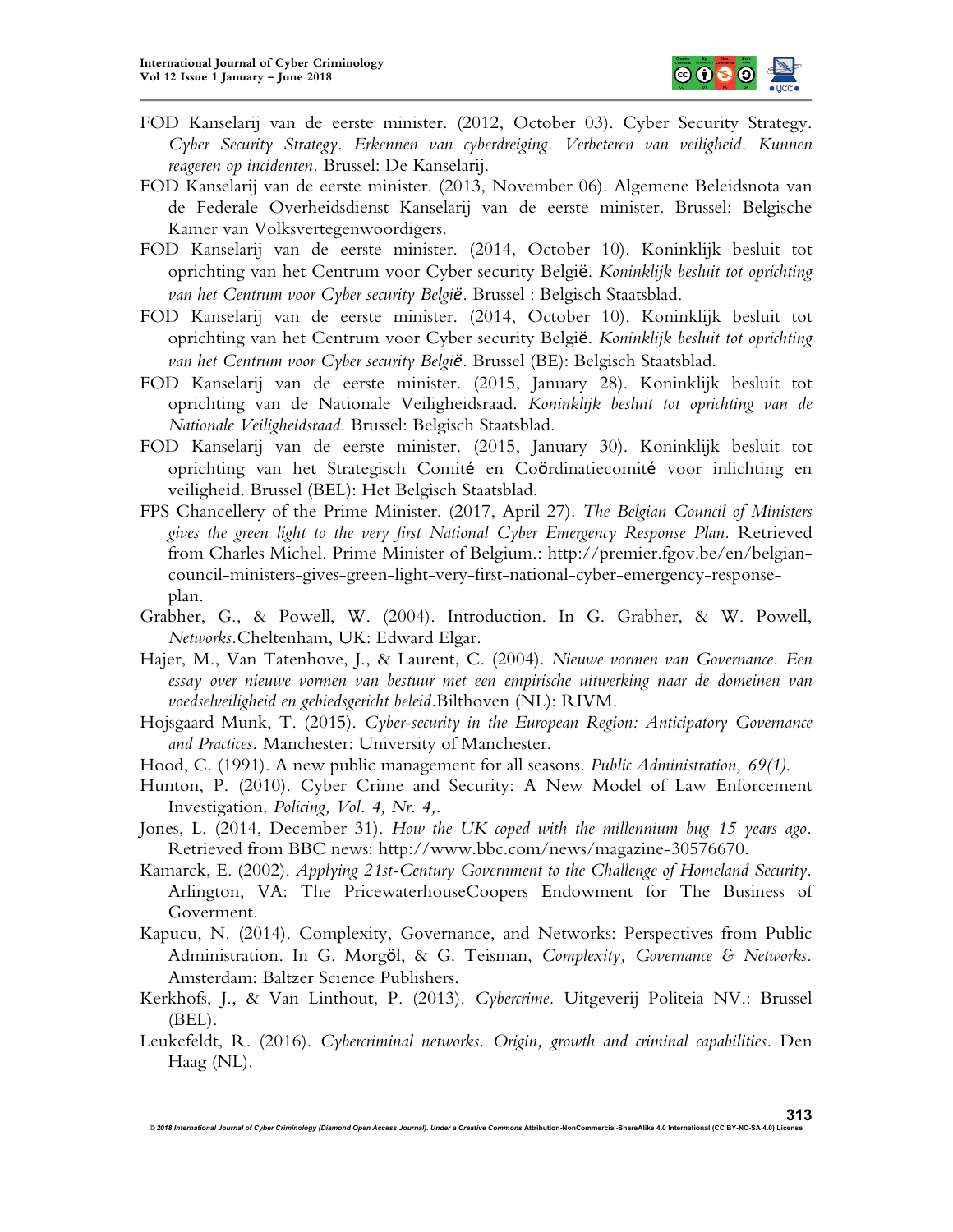

- FOD Kanselarij van de eerste minister. (2012, October 03). Cyber Security Strategy. *Cyber Security Strategy. Erkennen van cyberdreiging. Verbeteren van veiligheid. Kunnen reageren op incidenten.* Brussel: De Kanselarij.
- FOD Kanselarij van de eerste minister. (2013, November 06). Algemene Beleidsnota van de Federale Overheidsdienst Kanselarij van de eerste minister. Brussel: Belgische Kamer van Volksvertegenwoordigers.
- FOD Kanselarij van de eerste minister. (2014, October 10). Koninklijk besluit tot oprichting van het Centrum voor Cyber security België. *Koninklijk besluit tot oprichting van het Centrum voor Cyber security België.* Brussel : Belgisch Staatsblad.
- FOD Kanselarij van de eerste minister. (2014, October 10). Koninklijk besluit tot oprichting van het Centrum voor Cyber security België. *Koninklijk besluit tot oprichting van het Centrum voor Cyber security België.* Brussel (BE): Belgisch Staatsblad.
- FOD Kanselarij van de eerste minister. (2015, January 28). Koninklijk besluit tot oprichting van de Nationale Veiligheidsraad. *Koninklijk besluit tot oprichting van de Nationale Veiligheidsraad.* Brussel: Belgisch Staatsblad.
- FOD Kanselarij van de eerste minister. (2015, January 30). Koninklijk besluit tot oprichting van het Strategisch Comité en Coördinatiecomité voor inlichting en veiligheid. Brussel (BEL): Het Belgisch Staatsblad.
- FPS Chancellery of the Prime Minister. (2017, April 27). *The Belgian Council of Ministers gives the green light to the very first National Cyber Emergency Response Plan.* Retrieved from Charles Michel. Prime Minister of Belgium.: http://premier.fgov.be/en/belgiancouncil-ministers-gives-green-light-very-first-national-cyber-emergency-responseplan.
- Grabher, G., & Powell, W. (2004). Introduction. In G. Grabher, & W. Powell, *Networks.*Cheltenham, UK: Edward Elgar.
- Hajer, M., Van Tatenhove, J., & Laurent, C. (2004). *Nieuwe vormen van Governance. Een essay over nieuwe vormen van bestuur met een empirische uitwerking naar de domeinen van voedselveiligheid en gebiedsgericht beleid.*Bilthoven (NL): RIVM.
- Hojsgaard Munk, T. (2015). *Cyber-security in the European Region: Anticipatory Governance and Practices.* Manchester: University of Manchester.
- Hood, C. (1991). A new public management for all seasons. *Public Administration, 69(1)*.
- Hunton, P. (2010). Cyber Crime and Security: A New Model of Law Enforcement Investigation. *Policing, Vol. 4, Nr. 4,*.
- Jones, L. (2014, December 31). *How the UK coped with the millennium bug 15 years ago.* Retrieved from BBC news: http://www.bbc.com/news/magazine-30576670.
- Kamarck, E. (2002). *Applying 21st-Century Government to the Challenge of Homeland Security.* Arlington, VA: The PricewaterhouseCoopers Endowment for The Business of Goverment.
- Kapucu, N. (2014). Complexity, Governance, and Networks: Perspectives from Public Administration. In G. Morgöl, & G. Teisman, *Complexity, Governance & Networks.* Amsterdam: Baltzer Science Publishers.
- Kerkhofs, J., & Van Linthout, P. (2013). *Cybercrime.* Uitgeverij Politeia NV.: Brussel (BEL).
- Leukefeldt, R. (2016). *Cybercriminal networks. Origin, growth and criminal capabilities*. Den Haag (NL).

**313**

*© 2018 International Journal of Cyber Criminology (Diamond Open Access Journal). Under a Creative Commons* **Attribution-NonCommercial-ShareAlike 4.0 International (CC BY-NC-SA 4.0) License**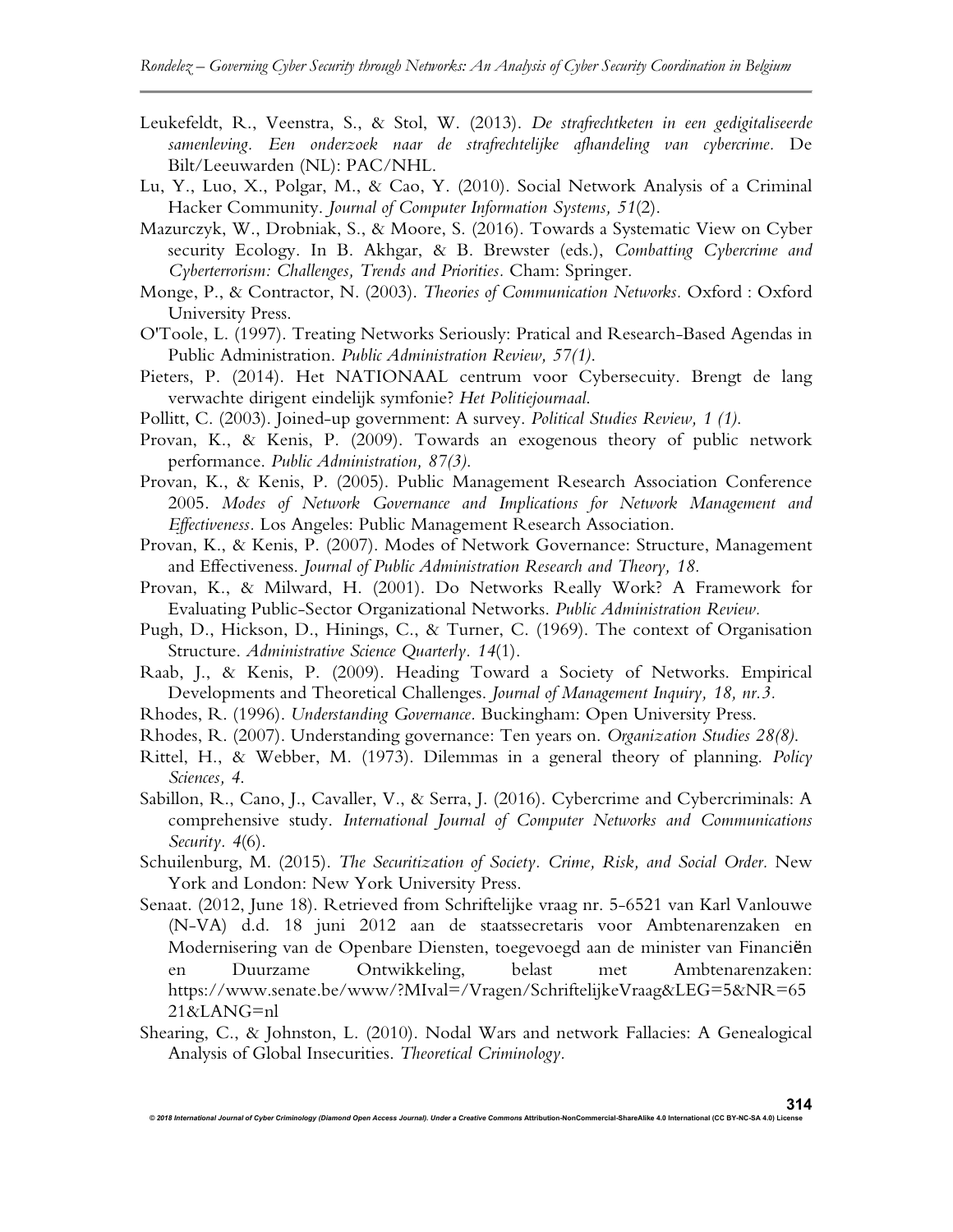- Leukefeldt, R., Veenstra, S., & Stol, W. (2013). *De strafrechtketen in een gedigitaliseerde samenleving. Een onderzoek naar de strafrechtelijke afhandeling van cybercrime.* De Bilt/Leeuwarden (NL): PAC/NHL.
- Lu, Y., Luo, X., Polgar, M., & Cao, Y. (2010). Social Network Analysis of a Criminal Hacker Community. *Journal of Computer Information Systems, 51*(2).
- Mazurczyk, W., Drobniak, S., & Moore, S. (2016). Towards a Systematic View on Cyber security Ecology. In B. Akhgar, & B. Brewster (eds.), *Combatting Cybercrime and Cyberterrorism: Challenges, Trends and Priorities.* Cham: Springer.
- Monge, P., & Contractor, N. (2003). *Theories of Communication Networks.* Oxford : Oxford University Press.
- O'Toole, L. (1997). Treating Networks Seriously: Pratical and Research-Based Agendas in Public Administration. *Public Administration Review, 57(1)*.
- Pieters, P. (2014). Het NATIONAAL centrum voor Cybersecuity. Brengt de lang verwachte dirigent eindelijk symfonie? *Het Politiejournaal*.
- Pollitt, C. (2003). Joined-up government: A survey. *Political Studies Review, 1 (1)*.
- Provan, K., & Kenis, P. (2009). Towards an exogenous theory of public network performance. *Public Administration, 87(3)*.
- Provan, K., & Kenis, P. (2005). Public Management Research Association Conference 2005. *Modes of Network Governance and Implications for Network Management and Effectiveness.* Los Angeles: Public Management Research Association.
- Provan, K., & Kenis, P. (2007). Modes of Network Governance: Structure, Management and Effectiveness. *Journal of Public Administration Research and Theory, 18.*
- Provan, K., & Milward, H. (2001). Do Networks Really Work? A Framework for Evaluating Public-Sector Organizational Networks. *Public Administration Review.*
- Pugh, D., Hickson, D., Hinings, C., & Turner, C. (1969). The context of Organisation Structure. *Administrative Science Quarterly. 14*(1).
- Raab, J., & Kenis, P. (2009). Heading Toward a Society of Networks. Empirical Developments and Theoretical Challenges. *Journal of Management Inquiry, 18, nr.3.*
- Rhodes, R. (1996). *Understanding Governance.* Buckingham: Open University Press.
- Rhodes, R. (2007). Understanding governance: Ten years on. *Organization Studies 28(8)*.
- Rittel, H., & Webber, M. (1973). Dilemmas in a general theory of planning. *Policy Sciences, 4*.
- Sabillon, R., Cano, J., Cavaller, V., & Serra, J. (2016). Cybercrime and Cybercriminals: A comprehensive study. *International Journal of Computer Networks and Communications Security. 4*(6).
- Schuilenburg, M. (2015). *The Securitization of Society. Crime, Risk, and Social Order.* New York and London: New York University Press.
- Senaat. (2012, June 18). Retrieved from Schriftelijke vraag nr. 5-6521 van Karl Vanlouwe (N-VA) d.d. 18 juni 2012 aan de staatssecretaris voor Ambtenarenzaken en Modernisering van de Openbare Diensten, toegevoegd aan de minister van Financiën en Duurzame Ontwikkeling, belast met Ambtenarenzaken: https://www.senate.be/www/?MIval=/Vragen/SchriftelijkeVraag&LEG=5&NR=65 21&LANG=nl
- Shearing, C., & Johnston, L. (2010). Nodal Wars and network Fallacies: A Genealogical Analysis of Global Insecurities. *Theoretical Criminology.*